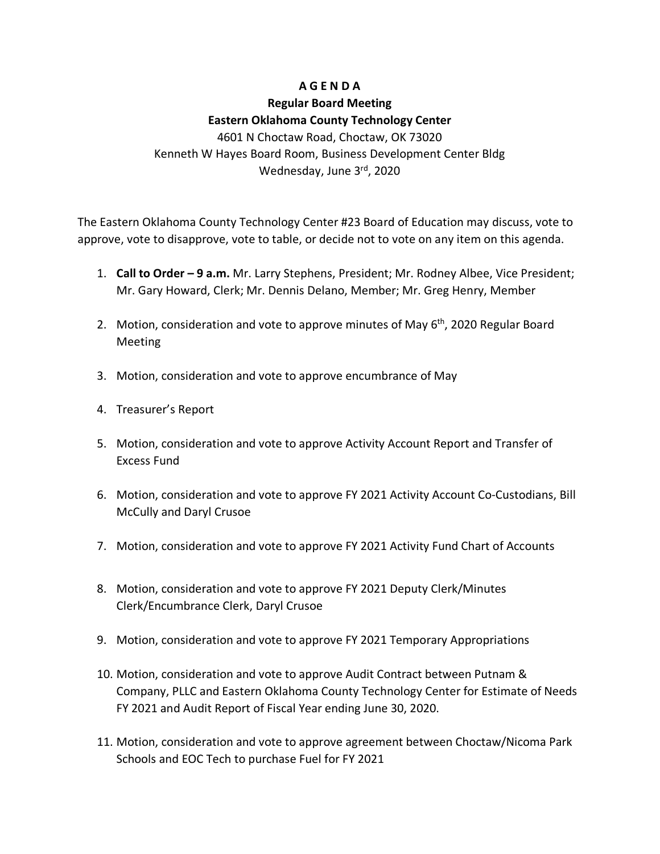## **A G E N D A**

### **Regular Board Meeting**

### **Eastern Oklahoma County Technology Center**

4601 N Choctaw Road, Choctaw, OK 73020 Kenneth W Hayes Board Room, Business Development Center Bldg Wednesday, June 3rd, 2020

The Eastern Oklahoma County Technology Center #23 Board of Education may discuss, vote to approve, vote to disapprove, vote to table, or decide not to vote on any item on this agenda.

- 1. **Call to Order – 9 a.m.** Mr. Larry Stephens, President; Mr. Rodney Albee, Vice President; Mr. Gary Howard, Clerk; Mr. Dennis Delano, Member; Mr. Greg Henry, Member
- 2. Motion, consideration and vote to approve minutes of May  $6<sup>th</sup>$ , 2020 Regular Board Meeting
- 3. Motion, consideration and vote to approve encumbrance of May
- 4. Treasurer's Report
- 5. Motion, consideration and vote to approve Activity Account Report and Transfer of Excess Fund
- 6. Motion, consideration and vote to approve FY 2021 Activity Account Co-Custodians, Bill McCully and Daryl Crusoe
- 7. Motion, consideration and vote to approve FY 2021 Activity Fund Chart of Accounts
- 8. Motion, consideration and vote to approve FY 2021 Deputy Clerk/Minutes Clerk/Encumbrance Clerk, Daryl Crusoe
- 9. Motion, consideration and vote to approve FY 2021 Temporary Appropriations
- 10. Motion, consideration and vote to approve Audit Contract between Putnam & Company, PLLC and Eastern Oklahoma County Technology Center for Estimate of Needs FY 2021 and Audit Report of Fiscal Year ending June 30, 2020.
- 11. Motion, consideration and vote to approve agreement between Choctaw/Nicoma Park Schools and EOC Tech to purchase Fuel for FY 2021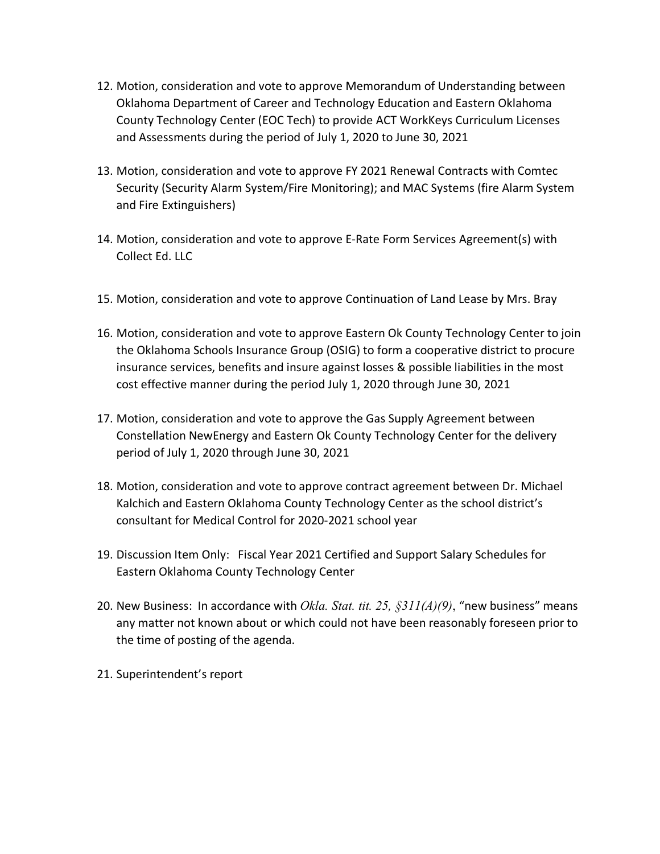- 12. Motion, consideration and vote to approve Memorandum of Understanding between Oklahoma Department of Career and Technology Education and Eastern Oklahoma County Technology Center (EOC Tech) to provide ACT WorkKeys Curriculum Licenses and Assessments during the period of July 1, 2020 to June 30, 2021
- 13. Motion, consideration and vote to approve FY 2021 Renewal Contracts with Comtec Security (Security Alarm System/Fire Monitoring); and MAC Systems (fire Alarm System and Fire Extinguishers)
- 14. Motion, consideration and vote to approve E-Rate Form Services Agreement(s) with Collect Ed. LLC
- 15. Motion, consideration and vote to approve Continuation of Land Lease by Mrs. Bray
- 16. Motion, consideration and vote to approve Eastern Ok County Technology Center to join the Oklahoma Schools Insurance Group (OSIG) to form a cooperative district to procure insurance services, benefits and insure against losses & possible liabilities in the most cost effective manner during the period July 1, 2020 through June 30, 2021
- 17. Motion, consideration and vote to approve the Gas Supply Agreement between Constellation NewEnergy and Eastern Ok County Technology Center for the delivery period of July 1, 2020 through June 30, 2021
- 18. Motion, consideration and vote to approve contract agreement between Dr. Michael Kalchich and Eastern Oklahoma County Technology Center as the school district's consultant for Medical Control for 2020-2021 school year
- 19. Discussion Item Only: Fiscal Year 2021 Certified and Support Salary Schedules for Eastern Oklahoma County Technology Center
- 20. New Business: In accordance with *Okla. Stat. tit. 25, §311(A)(9)*, "new business" means any matter not known about or which could not have been reasonably foreseen prior to the time of posting of the agenda.
- 21. Superintendent's report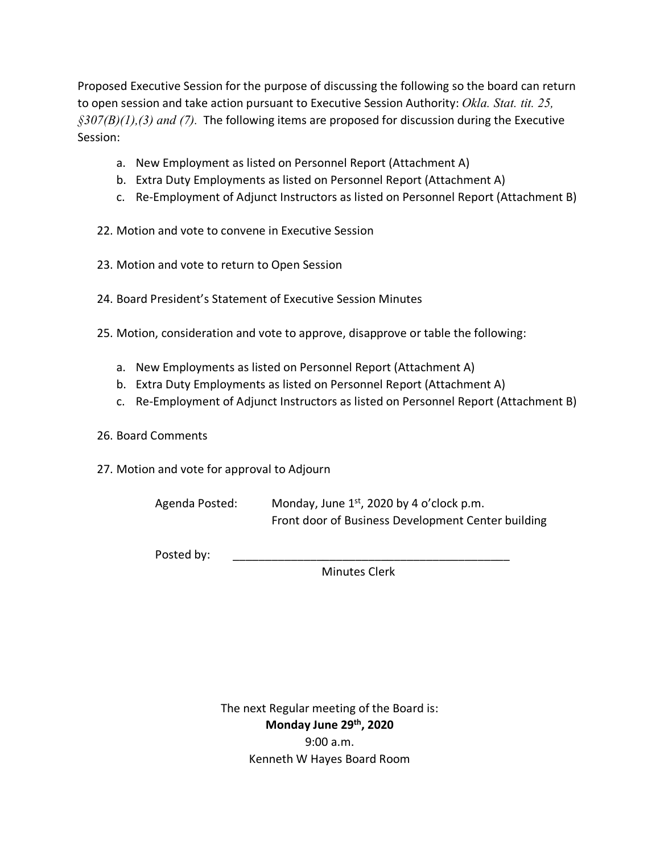Proposed Executive Session for the purpose of discussing the following so the board can return to open session and take action pursuant to Executive Session Authority: *Okla. Stat. tit. 25, §307(B)(1),(3) and (7).* The following items are proposed for discussion during the Executive Session:

- a. New Employment as listed on Personnel Report (Attachment A)
- b. Extra Duty Employments as listed on Personnel Report (Attachment A)
- c. Re-Employment of Adjunct Instructors as listed on Personnel Report (Attachment B)
- 22. Motion and vote to convene in Executive Session
- 23. Motion and vote to return to Open Session
- 24. Board President's Statement of Executive Session Minutes
- 25. Motion, consideration and vote to approve, disapprove or table the following:
	- a. New Employments as listed on Personnel Report (Attachment A)
	- b. Extra Duty Employments as listed on Personnel Report (Attachment A)
	- c. Re-Employment of Adjunct Instructors as listed on Personnel Report (Attachment B)
- 26. Board Comments
- 27. Motion and vote for approval to Adjourn

Agenda Posted: Monday, June  $1<sup>st</sup>$ , 2020 by 4 o'clock p.m. Front door of Business Development Center building

Posted by:

Minutes Clerk

The next Regular meeting of the Board is: **Monday June 29th, 2020** 9:00 a.m. Kenneth W Hayes Board Room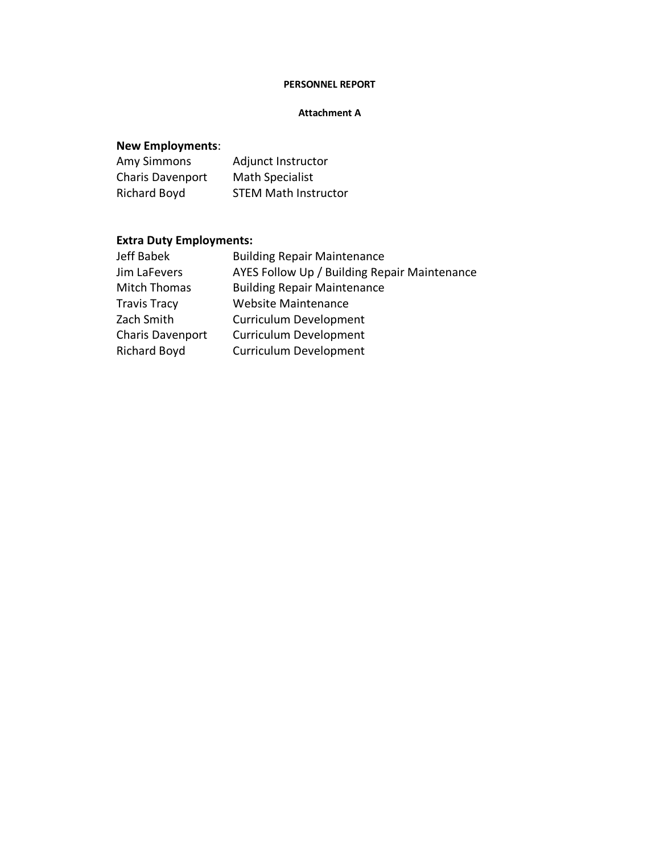### **PERSONNEL REPORT**

#### **Attachment A**

## **New Employments**:

| <b>Amy Simmons</b> | Adjunct Instructor          |
|--------------------|-----------------------------|
| Charis Davenport   | <b>Math Specialist</b>      |
| Richard Boyd       | <b>STEM Math Instructor</b> |

# **Extra Duty Employments:**

| <b>Building Repair Maintenance</b>           |
|----------------------------------------------|
| AYES Follow Up / Building Repair Maintenance |
| <b>Building Repair Maintenance</b>           |
| <b>Website Maintenance</b>                   |
| <b>Curriculum Development</b>                |
| <b>Curriculum Development</b>                |
| <b>Curriculum Development</b>                |
|                                              |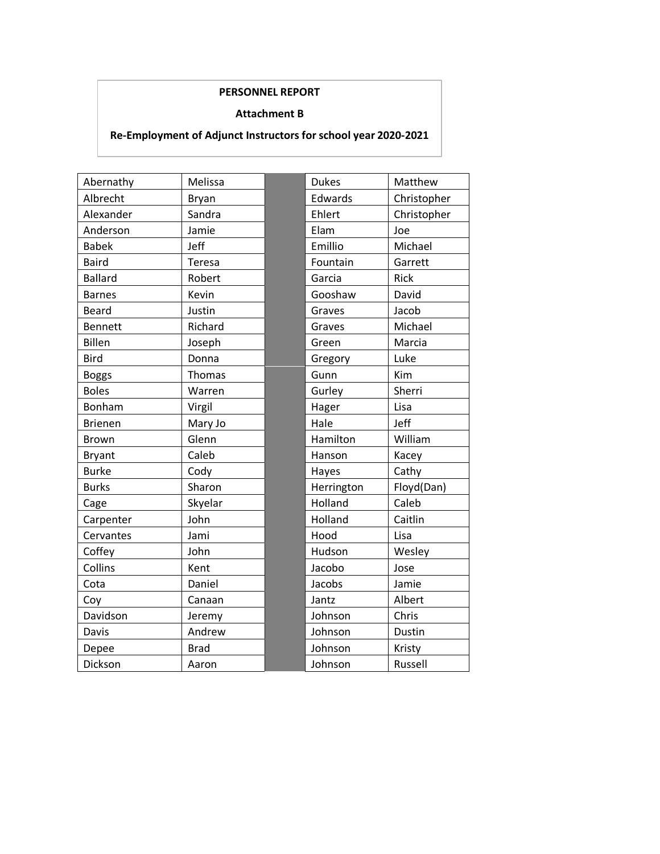### **PERSONNEL REPORT**

#### **Attachment B**

### **Re-Employment of Adjunct Instructors for school year 2020-2021**

| Abernathy      | Melissa       | <b>Dukes</b> | Matthew     |
|----------------|---------------|--------------|-------------|
| Albrecht       | <b>Bryan</b>  | Edwards      | Christopher |
| Alexander      | Sandra        | Ehlert       | Christopher |
| Anderson       | Jamie         | Elam         | Joe         |
| <b>Babek</b>   | Jeff          | Emillio      | Michael     |
| <b>Baird</b>   | Teresa        | Fountain     | Garrett     |
| <b>Ballard</b> | Robert        | Garcia       | Rick        |
| <b>Barnes</b>  | Kevin         | Gooshaw      | David       |
| <b>Beard</b>   | Justin        | Graves       | Jacob       |
| <b>Bennett</b> | Richard       | Graves       | Michael     |
| <b>Billen</b>  | Joseph        | Green        | Marcia      |
| <b>Bird</b>    | Donna         | Gregory      | Luke        |
| <b>Boggs</b>   | <b>Thomas</b> | Gunn         | Kim         |
| <b>Boles</b>   | Warren        | Gurley       | Sherri      |
| Bonham         | Virgil        | Hager        | Lisa        |
| <b>Brienen</b> | Mary Jo       | Hale         | Jeff        |
| <b>Brown</b>   | Glenn         | Hamilton     | William     |
| <b>Bryant</b>  | Caleb         | Hanson       | Kacey       |
| <b>Burke</b>   | Cody          | Hayes        | Cathy       |
| <b>Burks</b>   | Sharon        | Herrington   | Floyd(Dan)  |
| Cage           | Skyelar       | Holland      | Caleb       |
| Carpenter      | John          | Holland      | Caitlin     |
| Cervantes      | Jami          | Hood         | Lisa        |
| Coffey         | John          | Hudson       | Wesley      |
| Collins        | Kent          | Jacobo       | Jose        |
| Cota           | Daniel        | Jacobs       | Jamie       |
| Coy            | Canaan        | Jantz        | Albert      |
| Davidson       | Jeremy        | Johnson      | Chris       |
| Davis          | Andrew        | Johnson      | Dustin      |
| Depee          | <b>Brad</b>   | Johnson      | Kristy      |
| Dickson        | Aaron         | Johnson      | Russell     |